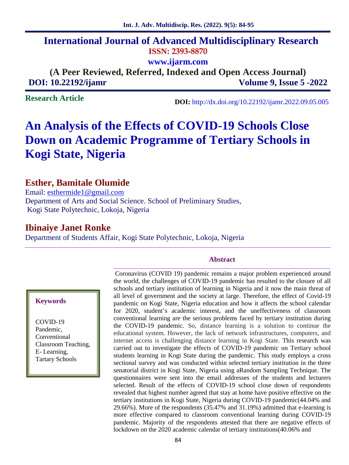## **International Journal of Advanced Multidisciplinary Research ISSN: 2393-8870 www.ijarm.com**

**(A Peer Reviewed, Referred, Indexed and Open Access Journal) DOI: 10.22192/ijamr Volume 9, Issue 5 -2022**

#### **Research Article**

**DOI:** http://dx.doi.org/10.22192/ijamr.2022.09.05.005

## **An Analysis of the Effects of COVID-19 Schools Close Down on Academic Programme of Tertiary Schools in Kogi State, Nigeria**

## **Esther, Bamitale Olumide**

Email: esthermide1@gmail.com Department of Arts and Social Science. School of Preliminary Studies, Kogi State Polytechnic, Lokoja, Nigeria

## **Ibinaiye Janet Ronke**

Department of Students Affair, Kogi State Polytechnic, Lokoja, Nigeria

#### **Abstract**

#### **Keywords**

COVID-19 Pandemic, Conventional Classroom Teaching, E- Learning, Tartary Schools

Coronavirus (COVID 19) pandemic remains a major problem experienced around the world, the challenges of COVID-19 pandemic has resulted to the closure of all schools and tertiary institution of learning in Nigeria and it now the main threat of all level of government and the society at large. Therefore, the effect of Covid-19 pandemic on Kogi State, Nigeria education and how it affects the school calendar for 2020, student's academic interest, and the uneffectiveness of classroom conventional learning are the serious problems faced by tertiary institution during the COVID-19 pandemic. So, distance learning is a solution to continue the educational system. However, the lack of network infrastructures, computers, and internet access is challenging distance learning in Kogi State. This research was carried out to investigate the effects of COVID-19 pandemic on Tertiary school students learning in Kogi State during the pandemic. This study employs a cross sectional survey and was conducted within selected tertiary institution in the three senatorial district in Kogi State, Nigeria using aRandom Sampling Technique. The questionnaires were sent into the email addresses of the students and lecturers selected. Result of the effects of COVID-19 school close down of respondents revealed that highest number agreed that stay at home have positive effective on the tertiary institutions in Kogi State, Nigeria during COVID-19 pandemic(44.04% and 29.66%). More of the respondents (35.47% and 31.19%) admitted that e-learning is more effective compared to classroom conventional learning during COVID-19 pandemic. Majority of the respondents attested that there are negative effects of lockdown on the 2020 academic calendar of tertiary institutions(40.06% and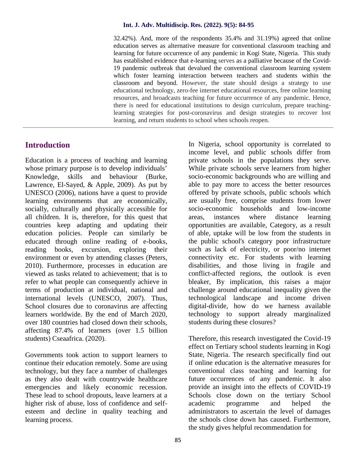#### **Int. J. Adv. Multidiscip. Res. (2022). 9(5): 84-95**

32.42%). And, more of the respondents 35.4% and 31.19%) agreed that online education serves as alternative measure for conventional classroom teaching and learning for future occurrence of any pandemic in Kogi State, Nigeria. This study has established evidence that e-learning serves as a palliative because of the Covid- 19 pandemic outbreak that devalued the conventional classroom learning system which foster learning interaction between teachers and students within the classroom and beyond. However, the state should design a strategy to use educational technology, zero-fee internet educational resources, free online learning resources, and broadcasts teaching for future occurrence of any pandemic. Hence, there is need for educational institutions to design curriculum, prepare teachinglearning strategies for post-coronavirus and design strategies to recover lost learning, and return students to school when schools reopen.

## **Introduction**

Education is a process of teaching and learning whose primary purpose is to develop individuals' Knowledge, skills and behaviour (Burke, Lawrence, El-Sayed, & Apple, 2009). As put by UNESCO (2006), nations have a quest to provide learning environments that are economically, socially, culturally and physically accessible for all children. It is, therefore, for this quest that countries keep adapting and updating their education policies. People can similarly be educated through online reading of e-books, reading books, excursion, exploring their environment or even by attending classes (Peters, 2010). Furthermore, processes in education are viewed as tasks related to achievement; that is to refer to what people can consequently achieve in terms of production at individual, national and international levels (UNESCO, 2007). Thus, School closures due to coronavirus are affecting learners worldwide. By the end of March 2020, over 180 countries had closed down their schools, affecting 87.4% of learners (over 1.5 billion students) Cseaafrica. (2020).

Governments took action to support learners to continue their education remotely. Some are using technology, but they face a number of challenges as they also dealt with countrywide healthcare emergencies and likely economic recession. These lead to school dropouts, leave learners at a higher risk of abuse, loss of confidence and self esteem and decline in quality teaching and learning process.

In Nigeria, school opportunity is correlated to income level, and public schools differ from private schools in the populations they serve. While private schools serve learners from higher socio-economic backgrounds who are willing and able to pay more to access the better resources offered by private schools, public schools which are usually free, comprise students from lower socio-economic households and low-income areas, instances where distance learning opportunities are available, Category, as a result of able, uptake will be low from the students in the public school's category poor infrastructure such as lack of electricity, or poor/no internet connectivity etc. For students with learning disabilities, and those living in fragile and conflict-affected regions, the outlook is even bleaker, By implication, this raises a major challenge around educational inequality given the technological landscape and income driven digital-divide, how do we harness available technology to support already marginalized students during these closures?

Therefore, this research investigated the Covid-19 effect on Tertiary school students learning in Kogi State, Nigeria. The research specifically find out if online education is the alternative measures for conventional class teaching and learning for future occurrences of any pandemic. It also provide an insight into the effects of COVID-19 Schools close down on the tertiary School academic programme and helped the administrators to ascertain the level of damages the schools close down has caused. Furthermore, the study gives helpful recommendation for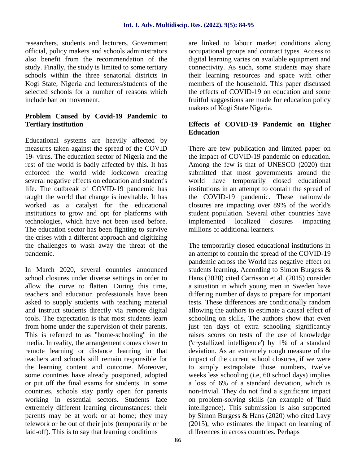researchers, students and lecturers. Government official, policy makers and schools administrators also benefit from the recommendation of the study. Finally, the study is limited to some tertiary schools within the three senatorial districts in Kogi State, Nigeria and lecturers/students of the selected schools for a number of reasons which include ban on movement.

#### **Problem Caused by Covid-19 Pandemic to Tertiary institution**

Educational systems are heavily affected by measures taken against the spread of the COVID 19- virus. The education sector of Nigeria and the rest of the world is badly affected by this. It has enforced the world wide lockdown creating several negative effects on education and student's life. The outbreak of COVID-19 pandemic has taught the world that change is inevitable. It has worked as a catalyst for the educational institutions to grow and opt for platforms with technologies, which have not been used before. The education sector has been fighting to survive the crises with a different approach and digitizing the challenges to wash away the threat of the pandemic.

In March 2020, several countries announced school closures under diverse settings in order to allow the curve to flatten. During this time, teachers and education professionals have been asked to supply students with teaching material and instruct students directly via remote digital tools. The expectation is that most students learn from home under the supervision of their parents. This is referred to as "home-schooling" in the media. In reality, the arrangement comes closer to remote learning or distance learning in that teachers and schools still remain responsible for the learning content and outcome. Moreover, some countries have already postponed, adopted or put off the final exams for students. In some countries, schools stay partly open for parents working in essential sectors. Students face extremely different learning circumstances: their parents may be at work or at home; they may telework or be out of their jobs (temporarily or be laid-off). This is to say that learning conditions

are linked to labour market conditions along occupational groups and contract types. Access to digital learning varies on available equipment and connectivity. As such, some students may share their learning resources and space with other members of the household. This paper discussed the effects of COVID-19 on education and some fruitful suggestions are made for education policy makers of Kogi State Nigeria.

#### **Effects of COVID-19 Pandemic on Higher Education**

There are few publication and limited paper on the impact of COVID-19 pandemic on education. Among the few is that of UNESCO (2020) that submitted that most governments around the world have temporarily closed educational institutions in an attempt to contain the spread of the COVID-19 pandemic. These nationwide closures are impacting over 89% of the world's student population. Several other countries have implemented localized closures impacting millions of additional learners.

The temporarily closed educational institutions in an attempt to contain the spread of the COVID-19 pandemic across the World has negative effect on students learning. According to Simon Burgess & Hans (2020) cited Carrisson et al. (2015) consider a situation in which young men in Sweden have differing number of days to prepare for important tests. These differences are conditionally random allowing the authors to estimate a causal effect of schooling on skills, The authors show that even just ten days of extra schooling significantly raises scores on tests of the use of knowledge ('crystallized intelligence') by 1% of a standard deviation. As an extremely rough measure of the impact of the current school closures, if we were to simply extrapolate those numbers, twelve weeks less schooling (i.e, 60 school days) implies a loss of 6% of a standard deviation, which is non-trivial. They do not find a significant impact on problem-solving skills (an example of 'fluid intelligence). This submission is also supported by Simon Burgess & Hans (2020) who cited Lavy (2015), who estimates the impact on learning of differences in across countries. Perhaps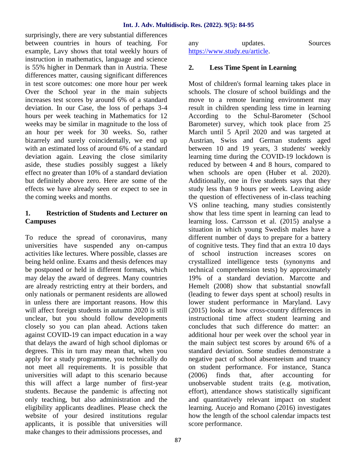surprisingly, there are very substantial differences between countries in hours of teaching. For example, Lavy shows that total weekly hours of instruction in mathematics, language and science is 55% higher in Denmark than in Austria. These differences matter, causing significant differences in test score outcomes: one more hour per week Over the School year in the main subjects increases test scores by around 6% of a standard deviation. In our Case, the loss of perhaps 3-4 hours per week teaching in Mathematics for 12 weeks may be similar in magnitude to the loss of an hour per week for 30 weeks. So, rather bizarrely and surely coincidentally, we end up with an estimated loss of around 6% of a standard deviation again. Leaving the close similarity aside, these studies possibly suggest a likely effect no greater than 10% of a standard deviation but definitely above zero. Here are some of the effects we have already seen or expect to see in the coming weeks and months.

#### **1. Restriction of Students and Lecturer on Campuses**

To reduce the spread of coronavirus, many universities have suspended any on-campus activities like lectures. Where possible, classes are being held online. Exams and thesis defences may be postponed or held in different formats, which may delay the award of degrees. Many countries are already restricting entry at their borders, and only nationals or permanent residents are allowed in unless there are important reasons. How this will affect foreign students in autumn 2020 is still unclear, but you should follow developments closely so you can plan ahead. Actions taken against COVID-19 can impact education in a way that delays the award of high school diplomas or degrees. This in turn may mean that, when you apply for a study programme, you technically do not meet all requirements. It is possible that universities will adapt to this scenario because (2006) this will affect a large number of first-year students. Because the pandemic is affecting not only teaching, but also administration and the eligibility applicants deadlines. Please check the website of your desired institutions regular applicants, it is possible that universities will make changes to their admissions processes, and

any updates. Sources https://www.study.eu/article.

#### **2. Less Time Spent in Learning**

Most of children's formal learning takes place in schools. The closure of school buildings and the move to a remote learning environment may result in children spending less time in learning According to the Schul-Barometer (School Barometer) survey, which took place from 25 March until 5 April 2020 and was targeted at Austrian, Swiss and German students aged between 10 and 19 years, 3 students' weekly learning time during the COVID-19 lockdown is reduced by between 4 and 8 hours, compared to when schools are open (Huber et al. 2020). Additionally, one in five students says that they study less than 9 hours per week. Leaving aside the question of effectiveness of in-class teaching VS online teaching, many studies consistently show that less time spent in learning can lead to learning loss. Carrsson et al. (2015) analyse a situation in which young Swedish males have a different number of days to prepare for a battery of cognitive tests. They find that an extra 10 days of school instruction increases scores on crystallized intelligence tests (synonyms and technical comprehension tests) by approximately 19% of a standard deviation. Marcotte and Hemelt (2008) show that substantial snowfall (leading to fewer days spent at school) results in lower student performance in Maryland. Lavy (2015) looks at how cross-country differences in instructional time affect student learning and concludes that such difference do matter: an additional hour per week over the school year in the main subject test scores by around 6% of a standard deviation. Some studies demonstrate a negative pact of school absenteeism and truancy on student performance. For instance, Stanca finds that, after accounting for unobservable student traits (e.g. motivation, effort), attendance shows statistically significant and quantitatively relevant impact on student learning. Aucejo and Romano (2016) investigates how the length of the school calendar impacts test score performance.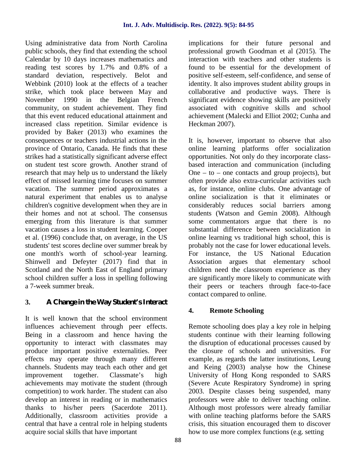Using administrative data from North Carolina public schools, they find that extending the school Calendar by 10 days increases mathematics and reading test scores by 1.7% and 0.8% of a standard deviation, respectively. Belot and Webbink (2010) look at the effects of a teacher strike, which took place between May and November 1990 in the Belgian French community, on student achievement. They find that this event reduced educational attainment and increased class repetition. Similar evidence is provided by Baker (2013) who examines the consequences or teachers industrial actions in the province of Ontario, Canada. He finds that these strikes had a statistically significant adverse effect on student test score growth. Another strand of research that may help us to understand the likely effect of missed learning time focuses on summer vacation. The summer period approximates a natural experiment that enables us to analyse children's cognitive development when they are in their homes and not at school. The consensus emerging from this literature is that summer vacation causes a loss in student learning. Cooper et al. (1996) conclude that, on average, in the US students' test scores decline over summer break by one month's worth of school-year learning. Shinwell and Defeyter (2017) find that in Scotland and the North East of England primary school children suffer a loss in spelling following a 7-week summer break.

## **3. A Change in the Way Student's Interact**

It is well known that the school environment influences achievement through peer effects. Being in a classroom and hence having the opportunity to interact with classmates may produce important positive externalities. Peer effects may operate through many different channels. Students may teach each other and get improvement together. Classmate's high achievements may motivate the student (through competition) to work harder. The student can also develop an interest in reading or in mathematics thanks to his/her peers (Sacerdote 2011). Additionally, classroom activities provide a central that have a central role in helping students acquire social skills that have important

implications for their future personal and professional growth Goodman et al (2015). The interaction with teachers and other students is found to be essential for the development of positive self-esteem, self-confidence, and sense of identity. It also improves student ability groups in collaborative and productive ways. There is significant evidence showing skills are positively associated with cognitive skills and school achievement (Malecki and Elliot 2002; Cunha and Heckman 2007).

It is, however, important to observe that also online learning platforms offer socialization opportunities. Not only do they incorporate class based interaction and communication (including One – to – one contacts and group projects), but often provide also extra-curricular activities such as, for instance, online clubs. One advantage of online socialization is that it eliminates or considerably reduces social barriers among students (Watson and Gemin 2008). Although some commentators argue that there is no substantial difference between socialization in online learning vs traditional high school, this is probably not the case for lower educational levels. For instance, the US National Education Association argues that elementary school children need the classroom experience as they are significantly more likely to communicate with their peers or teachers through face-to-face contact compared to online.

## **4. Remote Schooling**

Remote schooling does play a key role in helping students continue with their learning following the disruption of educational processes caused by the closure of schools and universities. For example, as regards the latter institutions, Leung and Keing (2003) analyse how the Chinese University of Hong Kong responded to SARS (Severe Acute Respiratory Syndrome) in spring 2003. Despite classes being suspended, many professors were able to deliver teaching online. Although most professors were already familiar with online teaching platforms before the SARS crisis, this situation encouraged them to discover how to use more complex functions (e.g. setting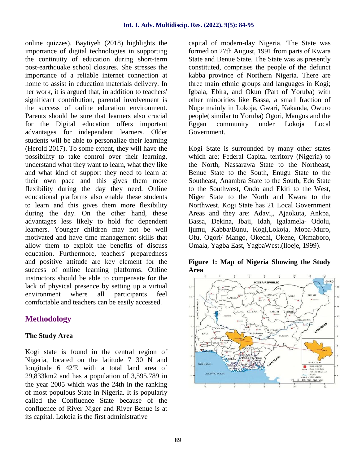online quizzes). Baytiyeh (2018) highlights the importance of digital technologies in supporting the continuity of education during short-term post-earthquake school closures. She stresses the importance of a reliable internet connection at home to assist in education materials delivery. In her work, it is argued that, in addition to teachers' significant contribution, parental involvement is the success of online education environment. Parents should be sure that learners also crucial for the Digital education offers important advantages for independent learners. Older students will be able to personalize their learning (Herold 2017). To some extent, they will have the possibility to take control over their learning, understand what they want to learn, what they like and what kind of support they need to learn at their own pace and this gives them more flexibility during the day they need. Online educational platforms also enable these students to learn and this gives them more flexibility during the day. On the other hand, these advantages less likely to hold for dependent learners. Younger children may not be well motivated and have time management skills that allow them to exploit the benefits of discuss education. Furthermore, teachers' preparedness and positive attitude are key element for the success of online learning platforms. Online instructors should be able to compensate for the lack of physical presence by setting up a virtual environment where all participants feel comfortable and teachers can be easily accessed.

## **Methodology**

#### **The Study Area**

Kogi state is found in the central region of Nigeria, located on the latitude 7 30 N and longitude 6 42'E with a total land area of 29,833km2 and has a population of 3,595,789 in the year 2005 which was the 24th in the ranking of most populous State in Nigeria. It is popularly called the Confluence State because of the confluence of River Niger and River Benue is at its capital. Lokoia is the first administrative

capital of modern-day Nigeria. 'The State was formed on 27th August, 1991 from parts of Kwara State and Benue State. The State was as presently constituted, comprises the people of the defunct kabba province of Northern Nigeria. There are three main ethnic groups and languages in Kogi; Igbala, Ebira, and Okun (Part of Yoruba) with other minorities like Bassa, a small fraction of Nupe mainly in Lokoja, Gwari, Kakanda, Owuro people( similar to Yoruba) Ogori, Mangos and the Eggan community under Lokoja Local Government.

Kogi State is surrounded by many other states which are; Federal Capital territory (Nigeria) to the North, Nassarawa State to the Northeast, Benue State to the South, Enugu State to the Southeast, Anambra State to the South, Edo State to the Southwest, Ondo and Ekiti to the West, Niger State to the North and Kwara to the Northwest. Kogi State has 21 Local Government Areas and they are: Adavi,, Ajaokuta, Ankpa, Bassa, Dekina, Ibaji, Idah, Igalamela- Odolu, ljumu, Kabba/Bunu, Kogi,Lokoja, Mopa-Muro, Ofu, Ogori/ Mango, Okechi, Okene, Okmaboro, Omala, Yagba East, YagbaWest.(lloeje, 1999).

**Figure 1: Map of Nigeria Showing the Study Area**

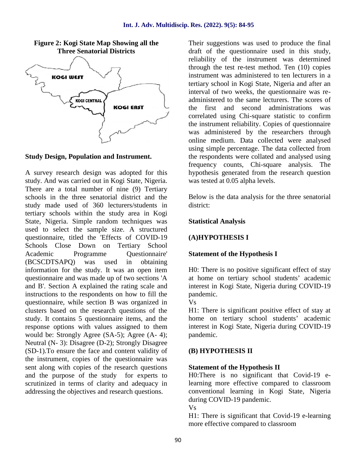

# **Figure 2: Kogi State Map Showing all the**

#### **Study Design, Population and Instrument.**

A survey research design was adopted for this study. And was carried out in Kogi State, Nigeria. There are a total number of nine (9) Tertiary schools in the three senatorial district and the study made used of 360 lecturers/students in tertiary schools within the study area in Kogi State, Nigeria. Simple random techniques was used to select the sample size. A structured questionnaire, titled the 'Effects of COVID-19 Schools Close Down on Tertiary School Academic Programme Ouestionnaire' (BCSCDTSAPQ) was used in obtaining information for the study. It was an open item questionnaire and was made up of two sections 'A and B'. Section A explained the rating scale and instructions to the respondents on how to fill the questionnaire, while section B was organized in clusters based on the research questions of the study. It contains 5 questionnaire items, and the response options with values assigned to them would be: Strongly Agree (SA-5); Agree (A- 4); Neutral (N- 3): Disagree (D-2); Strongly Disagree (SD-1).To ensure the face and content validity of the instrument, copies of the questionnaire was sent along with copies of the research questions and the purpose of the study for experts to scrutinized in terms of clarity and adequacy in addressing the objectives and research questions.

Their suggestions was used to produce the final draft of the questionnaire used in this study, reliability of the instrument was determined through the test re-test method. Ten (10) copies instrument was administered to ten lecturers in a tertiary school in Kogi State, Nigeria and after an interval of two weeks, the questionnaire was re administered to the same lecturers. The scores of the first and second administrations was correlated using Chi-square statistic to confirm the instrument reliability. Copies of questionnaire was administered by the researchers through online medium. Data collected were analysed using simple percentage. The data collected from the respondents were collated and analysed using frequency counts, Chi-square analysis. The hypothesis generated from the research question was tested at 0.05 alpha levels.

Below is the data analysis for the three senatorial district:

#### **Statistical Analysis**

#### **(A)HYPOTHESIS I**

#### **Statement of the Hypothesis I**

H0: There is no positive significant effect of stay at home on tertiary school students' academic interest in Kogi State, Nigeria during COVID-19 pandemic.

Vs

H1: There is significant positive effect of stay at home on tertiary school students' academic interest in Kogi State, Nigeria during COVID-19 pandemic.

#### **(B) HYPOTHESIS II**

#### **Statement of the Hypothesis II**

H0:There is no significant that Covid-19 elearning more effective compared to classroom conventional learning in Kogi State, Nigeria during COVID-19 pandemic.

Vs

H1: There is significant that Covid-19 e-learning more effective compared to classroom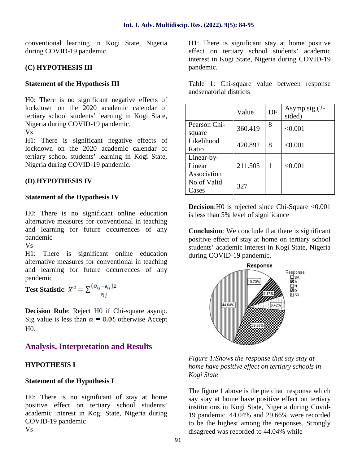conventional learning in Kogi State, Nigeria during COVID-19 pandemic.

#### **(C) HYPOTHESIS III**

#### **Statement of the Hypothesis III**

H0: There is no significant negative effects of lockdown on the 2020 academic calendar of tertiary school students' learning in Kogi State, Nigeria during COVID-19 pandemic.

Vs

H1: There is significant negative effects of lockdown on the 2020 academic calendar of tertiary school students' learning in Kogi State, Nigeria during COVID-19 pandemic.

#### **(D) HYPOTHESIS IV**

#### **Statement of the Hypothesis IV**

H0: There is no significant online education alternative measures for conventional in teaching and learning for future occurrences of any pandemic

Vs

H1: There is significant online education alternative measures for conventional in teaching and learning for future occurrences of any pandemic

**Test Statistic**:  $X^2 = \sum_{\substack{\mathfrak{e}_{ij} - \mathfrak{e}_{ij}}} \frac{(o_{ij} - o_{ij})^2}{e_{ij}}$ 

**Decision Rule**: Reject H0 if Chi-square asymp. Sig value is less than  $\alpha = 0.05$  otherwise Accept H0.

## **Analysis, Interpretation and Results**

#### **HYPOTHESIS I**

#### **Statement of the Hypothesis I**

H0: There is no significant of stay at home positive effect on tertiary school students' academic interest in Kogi State, Nigeria during COVID-19 pandemic Vs

H1: There is significant stay at home positive effect on tertiary school students' academic interest in Kogi State, Nigeria during COVID-19 pandemic.

Table 1: Chi-square value between response andsenatorial districts

|                                     | Value   | DF | Asymp.sig $(2-$<br>sided) |
|-------------------------------------|---------|----|---------------------------|
| Pearson Chi-<br>square              | 360.419 | 8  | < 0.001                   |
| Likelihood<br>Ratio                 | 420.892 | 8  | < 0.001                   |
| Linear-by-<br>Linear<br>Association | 211.505 | 1  | < 0.001                   |
| No of Valid<br>Cases                | 327     |    |                           |

**Decision:**H0 is rejected since Chi-Square <0.001 is less than 5% level of significance

**Conclusion**: We conclude that there is significant positive effect of stay at home on tertiary school students' academic interest in Kogi State, Nigeria during COVID-19 pandemic.



*Figure 1:Shows the response that say stay at home have positive effect on tertiary schools in Kogi State*

The figure 1 above is the pie chart response which say stay at home have positive effect on tertiary institutions in Kogi State, Nigeria during Covid- 19 pandemic. 44.04% and 29.66% were recorded to be the highest among the responses. Strongly disagreed was recorded to 44.04% while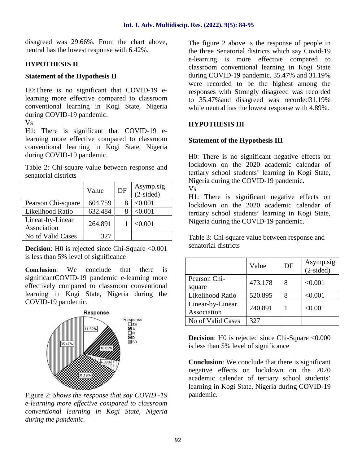disagreed was 29.66%. From the chart above, neutral has the lowest response with 6.42%.

#### **HYPOTHESIS II**

#### **Statement of the Hypothesis II**

H0:There is no significant that COVID-19 elearning more effective compared to classroom conventional learning in Kogi State, Nigeria during COVID-19 pandemic.

Vs

H1: There is significant that COVID-19 elearning more effective compared to classroom conventional learning in Kogi State, Nigeria during COVID-19 pandemic.

Table 2: Chi-square value between response and senatorial districts

|                                 | Value   | DF | Asymp.sig<br>$(2-sided)$ | I |
|---------------------------------|---------|----|--------------------------|---|
| Pearson Chi-square              | 604.759 |    | < 0.001                  | 1 |
| Likelihood Ratio                | 632.484 | 8  | < 0.001                  | t |
| Linear-by-Linear<br>Association | 264.891 |    | < 0.001                  | ľ |
| No of Valid Cases               | 327     |    |                          | Л |

**Decision**: H0 is rejected since Chi-Square <0.001 is less than 5% level of significance

**Conclusion**: We conclude that there is significantCOVID-19 pandemic e-learning more effectively compared to classroom conventional learning in Kogi State, Nigeria during the COVID-19 pandemic.



Figure 2: *Shows the response that say COVID -19 e-learning more effective compared to classroom conventional learning in Kogi State, Nigeria during the pandemic.*

The figure 2 above is the response of people in the three Senatorial districts which say Covid-19 e-learning is more effective compared to classroom conventional learning in Kogi State during COVID-19 pandemic. 35.47% and 31.19% were recorded to be the highest among the responses with Strongly disagreed was recorded to 35.47%and disagreed was recorded31.19% while neutral has the lowest response with 4.89%.

#### **HYPOTHESIS III**

#### **Statement of the Hypothesis III**

H0: There is no significant negative effects on lockdown on the 2020 academic calendar of tertiary school students' learning in Kogi State, Nigeria during the COVID-19 pandemic.

Vs

H1: There is significant negative effects on lockdown on the 2020 academic calendar of tertiary school students' learning in Kogi State, Nigeria during the COVID-19 pandemic.

Table 3: Chi-square value between response and senatorial districts

|                                 | Value   | DF | Asymp.sig<br>$(2-sided)$ |
|---------------------------------|---------|----|--------------------------|
| Pearson Chi-<br>square          | 473.178 | 8  | < 0.001                  |
| Likelihood Ratio                | 520.895 | 8  | < 0.001                  |
| Linear-by-Linear<br>Association | 240.891 |    | < 0.001                  |
| No of Valid Cases               | 327     |    |                          |

**Decision**: H0 is rejected since Chi-Square <0.000 is less than 5% level of significance

**Conclusion**: We conclude that there is significant negative effects on lockdown on the 2020 academic calendar of tertiary school students' learning in Kogi State, Nigeria during COVID-19 pandemic.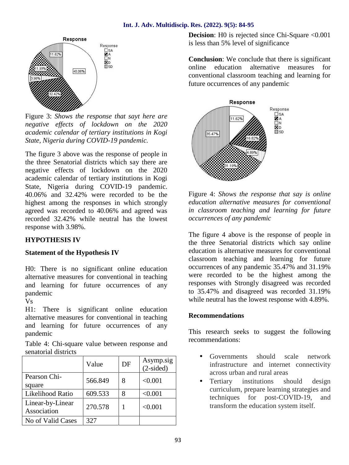

Figure 3: *Shows the response that sayt here are negative effects of lockdown on the 2020 academic calendar of tertiary institutions in Kogi State, Nigeria during COVID-19 pandemic.*

The figure 3 above was the response of people in the three Senatorial districts which say there are negative effects of lockdown on the 2020 academic calendar of tertiary institutions in Kogi State, Nigeria during COVID-19 pandemic. 40.06% and 32.42% were recorded to be the highest among the responses in which strongly agreed was recorded to 40.06% and agreed was recorded 32.42% while neutral has the lowest response with 3.98%.

#### **HYPOTHESIS IV**

#### **Statement of the Hypothesis IV**

H0: There is no significant online education alternative measures for conventional in teaching and learning for future occurrences of any pandemic

Vs

H1: There is significant online education alternative measures for conventional in teaching and learning for future occurrences of any pandemic

Table 4: Chi-square value between response and senatorial districts

|                                 | Value   | DF | Asymp.sig<br>$(2-sided)$ |  |
|---------------------------------|---------|----|--------------------------|--|
| Pearson Chi-                    | 566.849 | 8  | < 0.001                  |  |
| square                          |         |    |                          |  |
| Likelihood Ratio                | 609.533 | 8  | < 0.001                  |  |
| Linear-by-Linear<br>Association | 270.578 |    | < 0.001                  |  |
| No of Valid Cases               | 327     |    |                          |  |

**Decision:** H0 is rejected since Chi-Square <0.001 is less than 5% level of significance

**Conclusion**: We conclude that there is significant online education alternative measures for conventional classroom teaching and learning for future occurrences of any pandemic



Figure 4: *Shows the response that say is online education alternative measures for conventional in classroom teaching and learning for future occurrences of any pandemic*

The figure 4 above is the response of people in the three Senatorial districts which say online education is alternative measures for conventional classroom teaching and learning for future occurrences of any pandemic 35.47% and 31.19% were recorded to be the highest among the responses with Strongly disagreed was recorded to 35.47% and disagreed was recorded 31.19% while neutral has the lowest response with 4.89%.

#### **Recommendations**

This research seeks to suggest the following recommendations:

- Governments should scale network infrastructure and internet connectivity across urban and rural areas
- Tertiary institutions should design curriculum, prepare learning strategies and techniques for post-COVID-19, and transform the education system itself.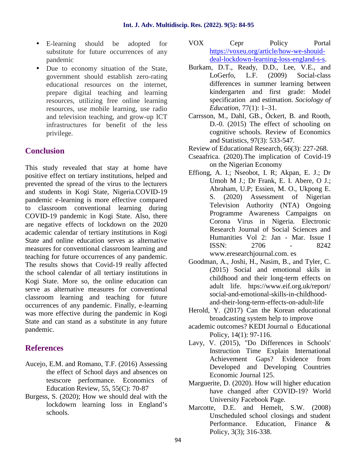- E-learning should be adopted for substitute for future occurrences of any pandemic
- Due to economy situation of the State, government should establish zero-rating educational resources on the internet, prepare digital teaching and learning resources, utilizing free online learning resources, use mobile learning, use radio and television teaching, and grow-up ICT infrastructures for benefit of the less privilege.

## **Conclusion**

This study revealed that stay at home have positive effect on tertiary institutions, helped and prevented the spread of the virus to the lecturers and students in Kogi State, Nigeria.COVID-19 pandemic e-learning is more effective compared to classroom conventional learning during COVID-19 pandemic in Kogi State. Also, there are negative effects of lockdown on the 2020 academic calendar of tertiary institutions in Kogi State and online education serves as alternative measures for conventional classroom learning and teaching for future occurrences of any pandemic. The results shows that Covid-19 really affected the school calendar of all tertiary institutions in Kogi State. More so, the online education can serve as alternative measures for conventional classroom learning and teaching for future occurrences of any pandemic. Finally, e-learning was more effective during the pandemic in Kogi State and can stand as a substitute in any future pandemic.

## **References**

- Aucejo, E.M. and Romano, T.F. (2016) Assessing the effect of School days and absences on testscore performance. Economics of Education Review, 55, 55(C): 70-87
- Burgess, S. (2020); How we should deal with the lockdowrn learning loss in England's schools.
- VOX Cepr Policy Portal https://voxeu.org/article/how-we-shouid deal-lockdown-learning-loss-england-s-s.
- Burkam, D.T., Ready, D.D., Lee, V.E., and LoGerfo, L.F. (2009) Social-class differences in summer learning between kindergarten and first grade: Model specification and estimation. *Sociology of Education*, 77(1): 1–31.
- Carrsson, M., Dahl, GB., Öckert, B. and Rooth, D.-0. (2015) The effect of schooling on cognitive schools. Review of Economics and Statistics, 97(3): 533-547.
- Review of Educational Research, 66(3): 227-268.
- Cseaafrica. (2020).The implication of Covid-19 on the Nigerian Economy
- Effiong, A. I.; Nseobot, I. R; Akpan, E. J.; Dr Umoh M J.; Dr Frank, E. I. Abere, O J.; Abraham, U.P; Essien, M. O., Ukpong E. S. (2020) Assessment of Nigerian Television Authority (NTA) Ongoing Programme Awareness Campaigns on Corona Virus in Nigeria. Electronic Research Journal of Social Sciences and Humanities Vol 2: Jan - Mar. Issue I ISSN: 2706 - 8242 www.eresearchjournal.com. es
- Goodman, A., Joshi, H., Nasim, B., and Tyler, C. (2015) Social and emotional skils in childhood and their long-term effects on adult life. htps://www.eif.org.uk/report/ social-and-emotional-skills-in-childhood and-their-long-term-effects-on-adult-life
- Herold, Y. (2017) Can the Korean educational broadcasting system help to improve
- academic outcomes? KEDI Journal o Educational Policy, 14(1): 97-116.
- Lavy, V. (2015), "Do Differences in Schools' Instruction Time Explain International Achievement Gaps? Evidence from Developed and Developing Countries Economic Journal 125.
- Marguerite, D. (2020). How will higher education have changed after COVID-19? World University Facebook Page.
- Marcotte, D.E. and Hemelt, S.W. (2008) Unscheduled school closings and student Performance. Education, Finance & Policy, 3(3); 316-338.